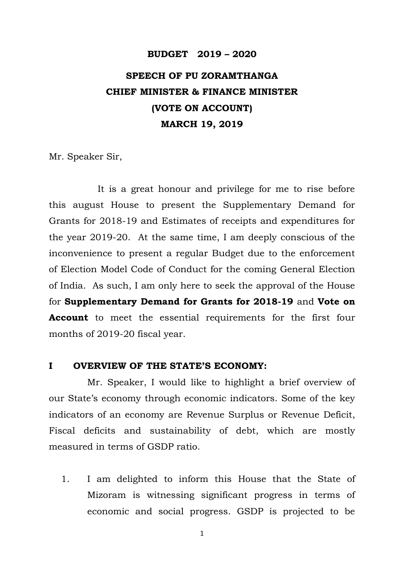## **BUDGET 2019 – 2020**

# **SPEECH OF PU ZORAMTHANGA CHIEF MINISTER & FINANCE MINISTER (VOTE ON ACCOUNT) MARCH 19, 2019**

Mr. Speaker Sir,

It is a great honour and privilege for me to rise before this august House to present the Supplementary Demand for Grants for 2018-19 and Estimates of receipts and expenditures for the year 2019-20. At the same time, I am deeply conscious of the inconvenience to present a regular Budget due to the enforcement of Election Model Code of Conduct for the coming General Election of India. As such, I am only here to seek the approval of the House for **Supplementary Demand for Grants for 2018-19** and **Vote on Account** to meet the essential requirements for the first four months of 2019-20 fiscal year.

#### **I OVERVIEW OF THE STATE'S ECONOMY:**

Mr. Speaker, I would like to highlight a brief overview of our State's economy through economic indicators. Some of the key indicators of an economy are Revenue Surplus or Revenue Deficit, Fiscal deficits and sustainability of debt, which are mostly measured in terms of GSDP ratio.

1. I am delighted to inform this House that the State of Mizoram is witnessing significant progress in terms of economic and social progress. GSDP is projected to be

1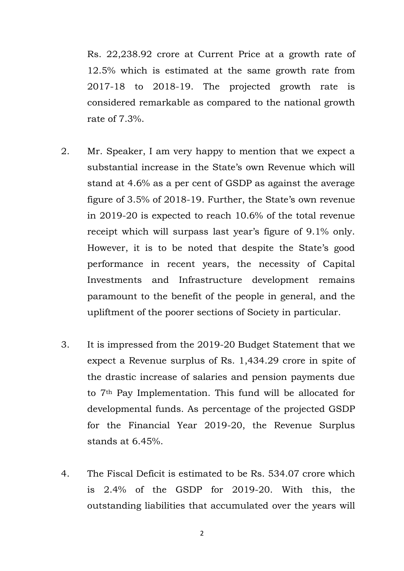Rs. 22,238.92 crore at Current Price at a growth rate of 12.5% which is estimated at the same growth rate from 2017-18 to 2018-19. The projected growth rate is considered remarkable as compared to the national growth rate of 7.3%.

- 2. Mr. Speaker, I am very happy to mention that we expect a substantial increase in the State's own Revenue which will stand at 4.6% as a per cent of GSDP as against the average figure of 3.5% of 2018-19. Further, the State's own revenue in 2019-20 is expected to reach 10.6% of the total revenue receipt which will surpass last year's figure of 9.1% only. However, it is to be noted that despite the State's good performance in recent years, the necessity of Capital Investments and Infrastructure development remains paramount to the benefit of the people in general, and the upliftment of the poorer sections of Society in particular.
- 3. It is impressed from the 2019-20 Budget Statement that we expect a Revenue surplus of Rs. 1,434.29 crore in spite of the drastic increase of salaries and pension payments due to 7th Pay Implementation. This fund will be allocated for developmental funds. As percentage of the projected GSDP for the Financial Year 2019-20, the Revenue Surplus stands at 6.45%.
- 4. The Fiscal Deficit is estimated to be Rs. 534.07 crore which is 2.4% of the GSDP for 2019-20. With this, the outstanding liabilities that accumulated over the years will

2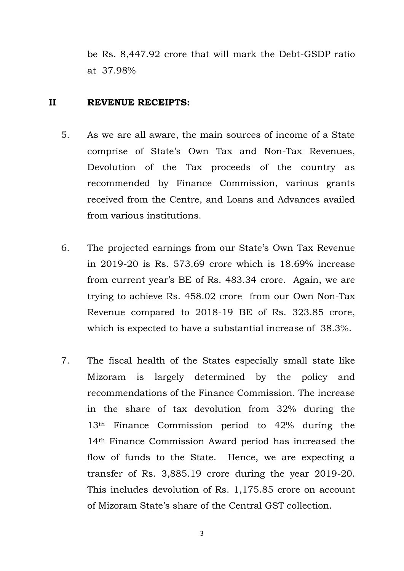be Rs. 8,447.92 crore that will mark the Debt-GSDP ratio at 37.98%

#### **II REVENUE RECEIPTS:**

- 5. As we are all aware, the main sources of income of a State comprise of State's Own Tax and Non-Tax Revenues, Devolution of the Tax proceeds of the country as recommended by Finance Commission, various grants received from the Centre, and Loans and Advances availed from various institutions.
- 6. The projected earnings from our State's Own Tax Revenue in 2019-20 is Rs. 573.69 crore which is 18.69% increase from current year's BE of Rs. 483.34 crore. Again, we are trying to achieve Rs. 458.02 crore from our Own Non-Tax Revenue compared to 2018-19 BE of Rs. 323.85 crore, which is expected to have a substantial increase of 38.3%.
- 7. The fiscal health of the States especially small state like Mizoram is largely determined by the policy and recommendations of the Finance Commission. The increase in the share of tax devolution from 32% during the 13th Finance Commission period to 42% during the 14th Finance Commission Award period has increased the flow of funds to the State. Hence, we are expecting a transfer of Rs. 3,885.19 crore during the year 2019-20. This includes devolution of Rs. 1,175.85 crore on account of Mizoram State's share of the Central GST collection.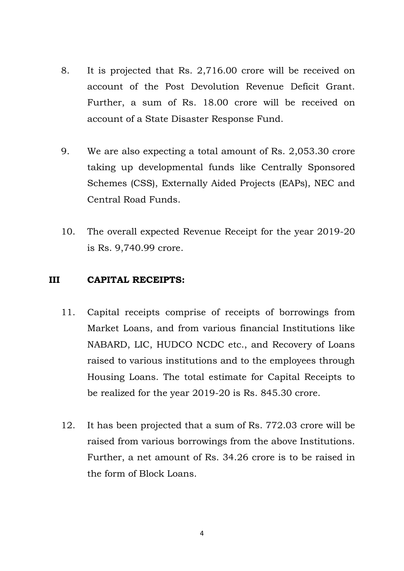- 8. It is projected that Rs. 2,716.00 crore will be received on account of the Post Devolution Revenue Deficit Grant. Further, a sum of Rs. 18.00 crore will be received on account of a State Disaster Response Fund.
- 9. We are also expecting a total amount of Rs. 2,053.30 crore taking up developmental funds like Centrally Sponsored Schemes (CSS), Externally Aided Projects (EAPs), NEC and Central Road Funds.
- 10. The overall expected Revenue Receipt for the year 2019-20 is Rs. 9,740.99 crore.

## **III CAPITAL RECEIPTS:**

- 11. Capital receipts comprise of receipts of borrowings from Market Loans, and from various financial Institutions like NABARD, LIC, HUDCO NCDC etc., and Recovery of Loans raised to various institutions and to the employees through Housing Loans. The total estimate for Capital Receipts to be realized for the year 2019-20 is Rs. 845.30 crore.
- 12. It has been projected that a sum of Rs. 772.03 crore will be raised from various borrowings from the above Institutions. Further, a net amount of Rs. 34.26 crore is to be raised in the form of Block Loans.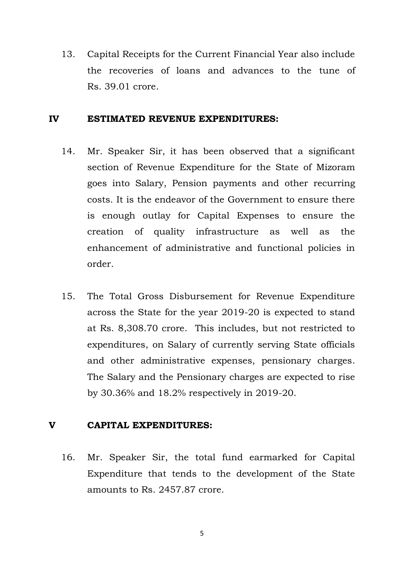13. Capital Receipts for the Current Financial Year also include the recoveries of loans and advances to the tune of Rs. 39.01 crore.

#### **IV ESTIMATED REVENUE EXPENDITURES:**

- 14. Mr. Speaker Sir, it has been observed that a significant section of Revenue Expenditure for the State of Mizoram goes into Salary, Pension payments and other recurring costs. It is the endeavor of the Government to ensure there is enough outlay for Capital Expenses to ensure the creation of quality infrastructure as well as the enhancement of administrative and functional policies in order.
- 15. The Total Gross Disbursement for Revenue Expenditure across the State for the year 2019-20 is expected to stand at Rs. 8,308.70 crore. This includes, but not restricted to expenditures, on Salary of currently serving State officials and other administrative expenses, pensionary charges. The Salary and the Pensionary charges are expected to rise by 30.36% and 18.2% respectively in 2019-20.

## **V CAPITAL EXPENDITURES:**

16. Mr. Speaker Sir, the total fund earmarked for Capital Expenditure that tends to the development of the State amounts to Rs. 2457.87 crore.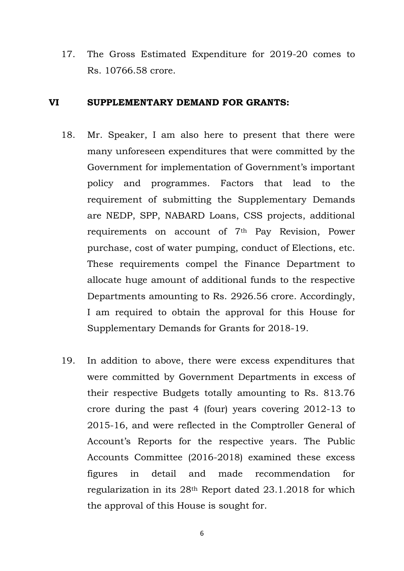17. The Gross Estimated Expenditure for 2019-20 comes to Rs. 10766.58 crore.

#### **VI SUPPLEMENTARY DEMAND FOR GRANTS:**

- 18. Mr. Speaker, I am also here to present that there were many unforeseen expenditures that were committed by the Government for implementation of Government's important policy and programmes. Factors that lead to the requirement of submitting the Supplementary Demands are NEDP, SPP, NABARD Loans, CSS projects, additional requirements on account of 7th Pay Revision, Power purchase, cost of water pumping, conduct of Elections, etc. These requirements compel the Finance Department to allocate huge amount of additional funds to the respective Departments amounting to Rs. 2926.56 crore. Accordingly, I am required to obtain the approval for this House for Supplementary Demands for Grants for 2018-19.
- 19. In addition to above, there were excess expenditures that were committed by Government Departments in excess of their respective Budgets totally amounting to Rs. 813.76 crore during the past 4 (four) years covering 2012-13 to 2015-16, and were reflected in the Comptroller General of Account's Reports for the respective years. The Public Accounts Committee (2016-2018) examined these excess figures in detail and made recommendation for regularization in its 28th Report dated 23.1.2018 for which the approval of this House is sought for.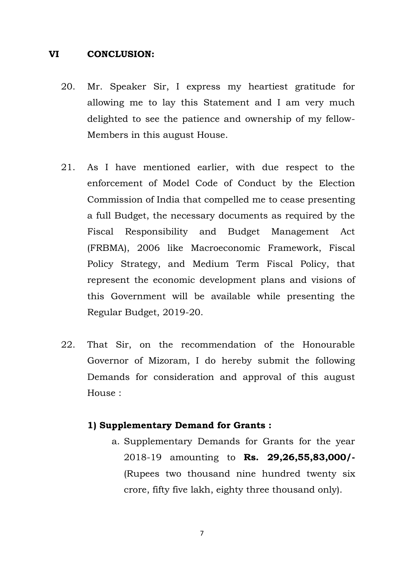#### **VI CONCLUSION:**

- 20. Mr. Speaker Sir, I express my heartiest gratitude for allowing me to lay this Statement and I am very much delighted to see the patience and ownership of my fellow-Members in this august House.
- 21. As I have mentioned earlier, with due respect to the enforcement of Model Code of Conduct by the Election Commission of India that compelled me to cease presenting a full Budget, the necessary documents as required by the Fiscal Responsibility and Budget Management Act (FRBMA), 2006 like Macroeconomic Framework, Fiscal Policy Strategy, and Medium Term Fiscal Policy, that represent the economic development plans and visions of this Government will be available while presenting the Regular Budget, 2019-20.
- 22. That Sir, on the recommendation of the Honourable Governor of Mizoram, I do hereby submit the following Demands for consideration and approval of this august House :

## **1) Supplementary Demand for Grants :**

a. Supplementary Demands for Grants for the year 2018-19 amounting to **Rs. 29,26,55,83,000/-** (Rupees two thousand nine hundred twenty six crore, fifty five lakh, eighty three thousand only).